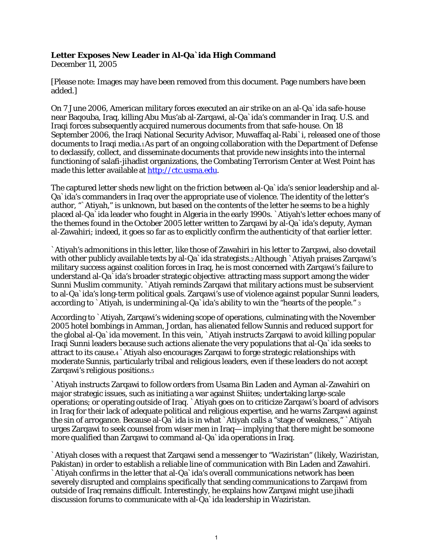## **Letter Exposes New Leader in Al-Qa`ida High Command**

December 11, 2005

[Please note: Images may have been removed from this document. Page numbers have been added.]

On 7 June 2006, American military forces executed an air strike on an al-Qa`ida safe-house near Baqouba, Iraq, killing Abu Mus'ab al-Zarqawi, al-Qa`ida's commander in Iraq. U.S. and Iraqi forces subsequently acquired numerous documents from that safe-house. On 18 September 2006, the Iraqi National Security Advisor, Muwaffaq al-Rabi`i, released one of those documents to Iraqi media.1 As part of an ongoing collaboration with the Department of Defense to declassify, collect, and disseminate documents that provide new insights into the internal functioning of salafi-jihadist organizations, the Combating Terrorism Center at West Point has made this letter available at http://ctc.usma.edu.

The captured letter sheds new light on the friction between al-Qa`ida's senior leadership and al-Qa`ida's commanders in Iraq over the appropriate use of violence. The identity of the letter's author, "`Atiyah," is unknown, but based on the contents of the letter he seems to be a highly placed al-Qa`ida leader who fought in Algeria in the early 1990s. `Atiyah's letter echoes many of the themes found in the October 2005 letter written to Zarqawi by al-Qa`ida's deputy, Ayman al-Zawahiri; indeed, it goes so far as to explicitly confirm the authenticity of that earlier letter.

`Atiyah's admonitions in this letter, like those of Zawahiri in his letter to Zarqawi, also dovetail with other publicly available texts by al-Qa`ida strategists. Although `Atiyah praises Zarqawi's military success against coalition forces in Iraq, he is most concerned with Zarqawi's failure to understand al-Qa`ida's broader strategic objective: attracting mass support among the wider Sunni Muslim community. `Atiyah reminds Zarqawi that military actions must be subservient to al-Qa`ida's long-term political goals. Zarqawi's use of violence against popular Sunni leaders, according to `Atiyah, is undermining al-Qa`ida's ability to win the "hearts of the people." 3

According to `Atiyah, Zarqawi's widening scope of operations, culminating with the November 2005 hotel bombings in Amman, Jordan, has alienated fellow Sunnis and reduced support for the global al-Qa`ida movement. In this vein, `Atiyah instructs Zarqawi to avoid killing popular Iraqi Sunni leaders because such actions alienate the very populations that al-Qa`ida seeks to attract to its cause.4 `Atiyah also encourages Zarqawi to forge strategic relationships with moderate Sunnis, particularly tribal and religious leaders, even if these leaders do not accept Zarqawi's religious positions.5

`Atiyah instructs Zarqawi to follow orders from Usama Bin Laden and Ayman al-Zawahiri on major strategic issues, such as initiating a war against Shiites; undertaking large-scale operations; or operating outside of Iraq. `Atiyah goes on to criticize Zarqawi's board of advisors in Iraq for their lack of adequate political and religious expertise, and he warns Zarqawi against the sin of arrogance. Because al-Qa`ida is in what `Atiyah calls a "stage of weakness," `Atiyah urges Zarqawi to seek counsel from wiser men in Iraq— implying that there might be someone more qualified than Zarqawi to command al-Qa`ida operations in Iraq.

`Atiyah closes with a request that Zarqawi send a messenger to "Waziristan" (likely, Waziristan, Pakistan) in order to establish a reliable line of communication with Bin Laden and Zawahiri. `Atiyah confirms in the letter that al-Qa`ida's overall communications network has been severely disrupted and complains specifically that sending communications to Zarqawi from outside of Iraq remains difficult. Interestingly, he explains how Zarqawi might use jihadi discussion forums to communicate with al-Qa`ida leadership in Waziristan.